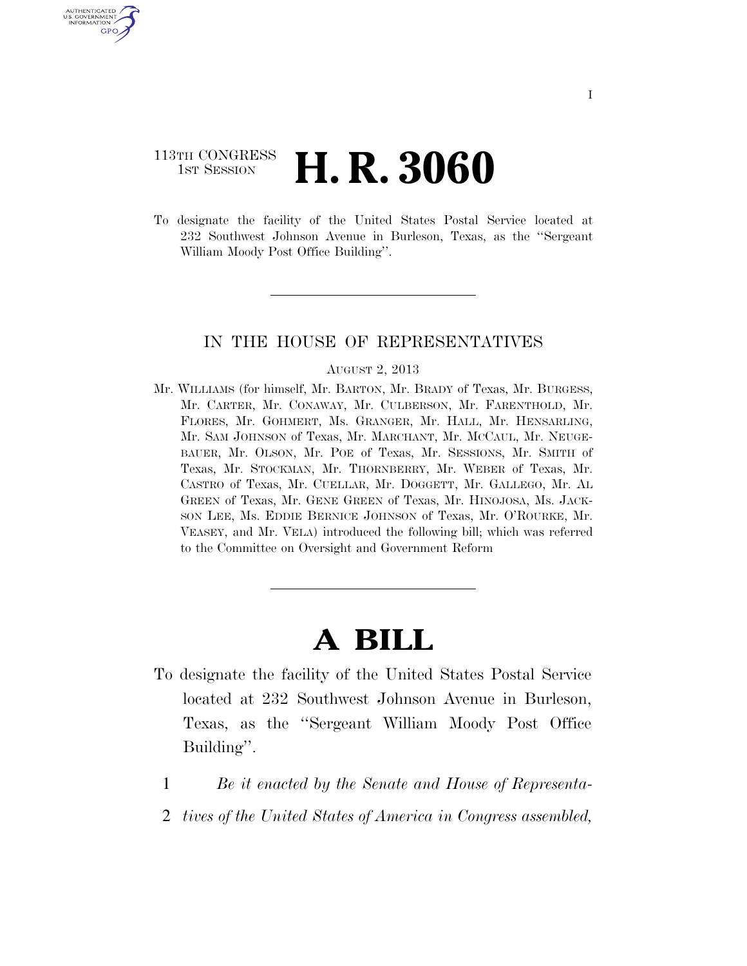### 113TH CONGRESS **1st Session H. R. 3060**

U.S. GOVERNMENT GPO

> To designate the facility of the United States Postal Service located at 232 Southwest Johnson Avenue in Burleson, Texas, as the ''Sergeant William Moody Post Office Building''.

#### IN THE HOUSE OF REPRESENTATIVES

#### AUGUST 2, 2013

Mr. WILLIAMS (for himself, Mr. BARTON, Mr. BRADY of Texas, Mr. BURGESS, Mr. CARTER, Mr. CONAWAY, Mr. CULBERSON, Mr. FARENTHOLD, Mr. FLORES, Mr. GOHMERT, Ms. GRANGER, Mr. HALL, Mr. HENSARLING, Mr. SAM JOHNSON of Texas, Mr. MARCHANT, Mr. MCCAUL, Mr. NEUGE-BAUER, Mr. OLSON, Mr. POE of Texas, Mr. SESSIONS, Mr. SMITH of Texas, Mr. STOCKMAN, Mr. THORNBERRY, Mr. WEBER of Texas, Mr. CASTRO of Texas, Mr. CUELLAR, Mr. DOGGETT, Mr. GALLEGO, Mr. AL GREEN of Texas, Mr. GENE GREEN of Texas, Mr. HINOJOSA, Ms. JACK-SON LEE, Ms. EDDIE BERNICE JOHNSON of Texas, Mr. O'ROURKE, Mr. VEASEY, and Mr. VELA) introduced the following bill; which was referred to the Committee on Oversight and Government Reform

# **A BILL**

- To designate the facility of the United States Postal Service located at 232 Southwest Johnson Avenue in Burleson, Texas, as the ''Sergeant William Moody Post Office Building''.
	- 1 *Be it enacted by the Senate and House of Representa-*
	- 2 *tives of the United States of America in Congress assembled,*